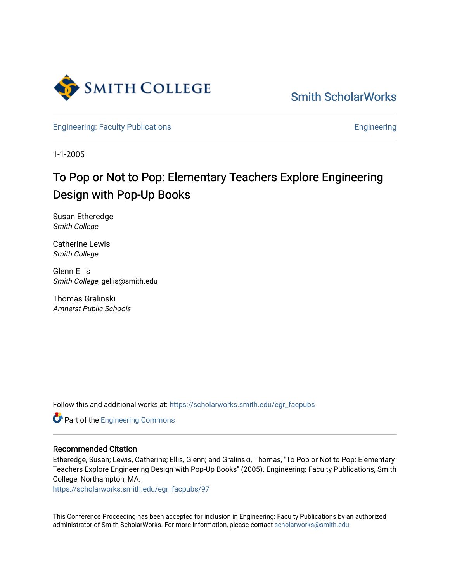

[Smith ScholarWorks](https://scholarworks.smith.edu/) 

[Engineering: Faculty Publications](https://scholarworks.smith.edu/egr_facpubs) **Engineering** 

1-1-2005

# To Pop or Not to Pop: Elementary Teachers Explore Engineering Design with Pop-Up Books

Susan Etheredge Smith College

Catherine Lewis Smith College

Glenn Ellis Smith College, gellis@smith.edu

Thomas Gralinski Amherst Public Schools

Follow this and additional works at: [https://scholarworks.smith.edu/egr\\_facpubs](https://scholarworks.smith.edu/egr_facpubs?utm_source=scholarworks.smith.edu%2Fegr_facpubs%2F97&utm_medium=PDF&utm_campaign=PDFCoverPages) 

**Part of the [Engineering Commons](http://network.bepress.com/hgg/discipline/217?utm_source=scholarworks.smith.edu%2Fegr_facpubs%2F97&utm_medium=PDF&utm_campaign=PDFCoverPages)** 

#### Recommended Citation

Etheredge, Susan; Lewis, Catherine; Ellis, Glenn; and Gralinski, Thomas, "To Pop or Not to Pop: Elementary Teachers Explore Engineering Design with Pop-Up Books" (2005). Engineering: Faculty Publications, Smith College, Northampton, MA.

[https://scholarworks.smith.edu/egr\\_facpubs/97](https://scholarworks.smith.edu/egr_facpubs/97?utm_source=scholarworks.smith.edu%2Fegr_facpubs%2F97&utm_medium=PDF&utm_campaign=PDFCoverPages)

This Conference Proceeding has been accepted for inclusion in Engineering: Faculty Publications by an authorized administrator of Smith ScholarWorks. For more information, please contact [scholarworks@smith.edu](mailto:scholarworks@smith.edu)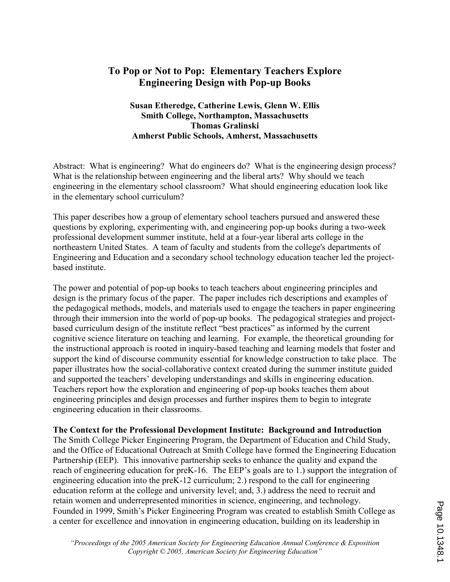## To Pop or Not to Pop: Elementary Teachers Explore Engineering Design with Pop-up Books

#### Susan Etheredge, Catherine Lewis, Glenn W. Ellis Smith College, Northampton, Massachusetts Thomas Gralinski Amherst Public Schools, Amherst, Massachusetts

Abstract: What is engineering? What do engineers do? What is the engineering design process? What is the relationship between engineering and the liberal arts? Why should we teach engineering in the elementary school classroom? What should engineering education look like in the elementary school curriculum?

This paper describes how a group of elementary school teachers pursued and answered these questions by exploring, experimenting with, and engineering pop-up books during a two-week professional development summer institute, held at a four-year liberal arts college in the northeastern United States. A team of faculty and students from the college's departments of Engineering and Education and a secondary school technology education teacher led the projectbased institute.

The power and potential of pop-up books to teach teachers about engineering principles and design is the primary focus of the paper. The paper includes rich descriptions and examples of the pedagogical methods, models, and materials used to engage the teachers in paper engineering through their immersion into the world of pop-up books. The pedagogical strategies and projectbased curriculum design of the institute reflect "best practices" as informed by the current cognitive science literature on teaching and learning. For example, the theoretical grounding for the instructional approach is rooted in inquiry-based teaching and learning models that foster and support the kind of discourse community essential for knowledge construction to take place. The paper illustrates how the social-collaborative context created during the summer institute guided and supported the teachers' developing understandings and skills in engineering education. Teachers report how the exploration and engineering of pop-up books teaches them about engineering principles and design processes and further inspires them to begin to integrate engineering education in their classrooms.

#### The Context for the Professional Development Institute: Background and Introduction

The Smith College Picker Engineering Program, the Department of Education and Child Study, and the Office of Educational Outreach at Smith College have formed the Engineering Education Partnership (EEP). This innovative partnership seeks to enhance the quality and expand the reach of engineering education for preK-16. The EEP's goals are to 1.) support the integration of engineering education into the preK-12 curriculum; 2.) respond to the call for engineering education reform at the college and university level; and, 3.) address the need to recruit and retain women and underrepresented minorities in science, engineering, and technology. Founded in 1999, Smith's Picker Engineering Program was created to establish Smith College as a center for excellence and innovation in engineering education, building on its leadership in

"Proceedings of the 2005 American Society for Engineering Education Annual Conference & Exposition Copyright © 2005, American Society for Engineering Education"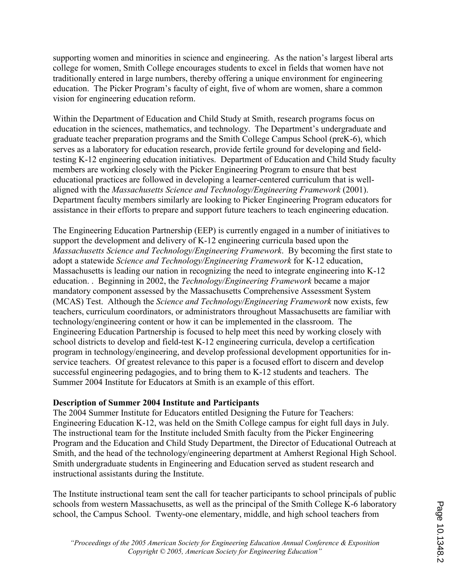supporting women and minorities in science and engineering. As the nation's largest liberal arts college for women, Smith College encourages students to excel in fields that women have not traditionally entered in large numbers, thereby offering a unique environment for engineering education. The Picker Program's faculty of eight, five of whom are women, share a common vision for engineering education reform.

Within the Department of Education and Child Study at Smith, research programs focus on education in the sciences, mathematics, and technology. The Department's undergraduate and graduate teacher preparation programs and the Smith College Campus School (preK-6), which serves as a laboratory for education research, provide fertile ground for developing and fieldtesting K-12 engineering education initiatives. Department of Education and Child Study faculty members are working closely with the Picker Engineering Program to ensure that best educational practices are followed in developing a learner-centered curriculum that is wellaligned with the Massachusetts Science and Technology/Engineering Framework (2001). Department faculty members similarly are looking to Picker Engineering Program educators for assistance in their efforts to prepare and support future teachers to teach engineering education.

The Engineering Education Partnership (EEP) is currently engaged in a number of initiatives to support the development and delivery of K-12 engineering curricula based upon the Massachusetts Science and Technology/Engineering Framework. By becoming the first state to adopt a statewide Science and Technology/Engineering Framework for K-12 education, Massachusetts is leading our nation in recognizing the need to integrate engineering into K-12 education. . Beginning in 2002, the Technology/Engineering Framework became a major mandatory component assessed by the Massachusetts Comprehensive Assessment System (MCAS) Test. Although the Science and Technology/Engineering Framework now exists, few teachers, curriculum coordinators, or administrators throughout Massachusetts are familiar with technology/engineering content or how it can be implemented in the classroom. The Engineering Education Partnership is focused to help meet this need by working closely with school districts to develop and field-test K-12 engineering curricula, develop a certification program in technology/engineering, and develop professional development opportunities for inservice teachers. Of greatest relevance to this paper is a focused effort to discern and develop successful engineering pedagogies, and to bring them to K-12 students and teachers. The Summer 2004 Institute for Educators at Smith is an example of this effort.

#### Description of Summer 2004 Institute and Participants

The 2004 Summer Institute for Educators entitled Designing the Future for Teachers: Engineering Education K-12, was held on the Smith College campus for eight full days in July. The instructional team for the Institute included Smith faculty from the Picker Engineering Program and the Education and Child Study Department, the Director of Educational Outreach at Smith, and the head of the technology/engineering department at Amherst Regional High School. Smith undergraduate students in Engineering and Education served as student research and instructional assistants during the Institute.

The Institute instructional team sent the call for teacher participants to school principals of public schools from western Massachusetts, as well as the principal of the Smith College K-6 laboratory school, the Campus School. Twenty-one elementary, middle, and high school teachers from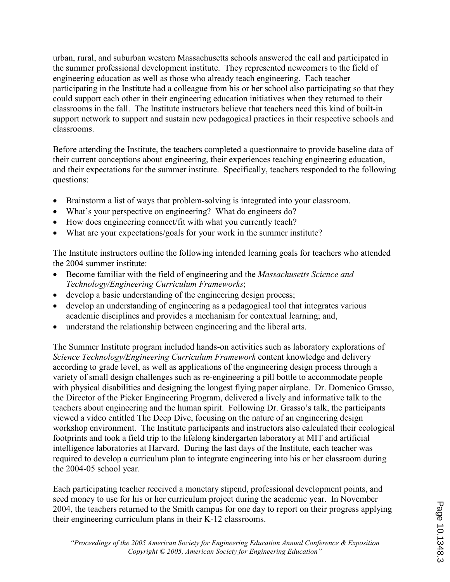urban, rural, and suburban western Massachusetts schools answered the call and participated in the summer professional development institute. They represented newcomers to the field of engineering education as well as those who already teach engineering. Each teacher participating in the Institute had a colleague from his or her school also participating so that they could support each other in their engineering education initiatives when they returned to their classrooms in the fall. The Institute instructors believe that teachers need this kind of built-in support network to support and sustain new pedagogical practices in their respective schools and classrooms.

Before attending the Institute, the teachers completed a questionnaire to provide baseline data of their current conceptions about engineering, their experiences teaching engineering education, and their expectations for the summer institute. Specifically, teachers responded to the following questions:

- Brainstorm a list of ways that problem-solving is integrated into your classroom.
- What's your perspective on engineering? What do engineers do?
- How does engineering connect/fit with what you currently teach?
- What are your expectations/goals for your work in the summer institute?

The Institute instructors outline the following intended learning goals for teachers who attended the 2004 summer institute:

- Become familiar with the field of engineering and the *Massachusetts Science and* Technology/Engineering Curriculum Frameworks;
- develop a basic understanding of the engineering design process;
- develop an understanding of engineering as a pedagogical tool that integrates various academic disciplines and provides a mechanism for contextual learning; and,
- understand the relationship between engineering and the liberal arts.

The Summer Institute program included hands-on activities such as laboratory explorations of Science Technology/Engineering Curriculum Framework content knowledge and delivery according to grade level, as well as applications of the engineering design process through a variety of small design challenges such as re-engineering a pill bottle to accommodate people with physical disabilities and designing the longest flying paper airplane. Dr. Domenico Grasso, the Director of the Picker Engineering Program, delivered a lively and informative talk to the teachers about engineering and the human spirit. Following Dr. Grasso's talk, the participants viewed a video entitled The Deep Dive, focusing on the nature of an engineering design workshop environment. The Institute participants and instructors also calculated their ecological footprints and took a field trip to the lifelong kindergarten laboratory at MIT and artificial intelligence laboratories at Harvard. During the last days of the Institute, each teacher was required to develop a curriculum plan to integrate engineering into his or her classroom during the 2004-05 school year.

Each participating teacher received a monetary stipend, professional development points, and seed money to use for his or her curriculum project during the academic year. In November 2004, the teachers returned to the Smith campus for one day to report on their progress applying their engineering curriculum plans in their K-12 classrooms.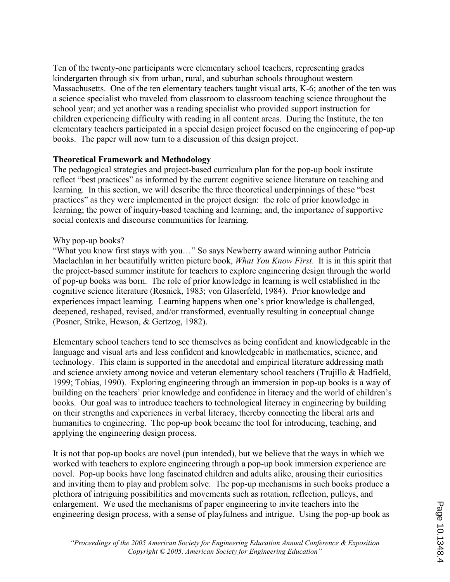Ten of the twenty-one participants were elementary school teachers, representing grades kindergarten through six from urban, rural, and suburban schools throughout western Massachusetts. One of the ten elementary teachers taught visual arts, K-6; another of the ten was a science specialist who traveled from classroom to classroom teaching science throughout the school year; and yet another was a reading specialist who provided support instruction for children experiencing difficulty with reading in all content areas. During the Institute, the ten elementary teachers participated in a special design project focused on the engineering of pop-up books. The paper will now turn to a discussion of this design project.

#### Theoretical Framework and Methodology

The pedagogical strategies and project-based curriculum plan for the pop-up book institute reflect "best practices" as informed by the current cognitive science literature on teaching and learning. In this section, we will describe the three theoretical underpinnings of these "best practices" as they were implemented in the project design: the role of prior knowledge in learning; the power of inquiry-based teaching and learning; and, the importance of supportive social contexts and discourse communities for learning.

#### Why pop-up books?

"What you know first stays with you…" So says Newberry award winning author Patricia Maclachlan in her beautifully written picture book, What You Know First. It is in this spirit that the project-based summer institute for teachers to explore engineering design through the world of pop-up books was born. The role of prior knowledge in learning is well established in the cognitive science literature (Resnick, 1983; von Glaserfeld, 1984). Prior knowledge and experiences impact learning. Learning happens when one's prior knowledge is challenged, deepened, reshaped, revised, and/or transformed, eventually resulting in conceptual change (Posner, Strike, Hewson, & Gertzog, 1982).

Elementary school teachers tend to see themselves as being confident and knowledgeable in the language and visual arts and less confident and knowledgeable in mathematics, science, and technology. This claim is supported in the anecdotal and empirical literature addressing math and science anxiety among novice and veteran elementary school teachers (Trujillo & Hadfield, 1999; Tobias, 1990). Exploring engineering through an immersion in pop-up books is a way of building on the teachers' prior knowledge and confidence in literacy and the world of children's books. Our goal was to introduce teachers to technological literacy in engineering by building on their strengths and experiences in verbal literacy, thereby connecting the liberal arts and humanities to engineering. The pop-up book became the tool for introducing, teaching, and applying the engineering design process.

It is not that pop-up books are novel (pun intended), but we believe that the ways in which we worked with teachers to explore engineering through a pop-up book immersion experience are novel. Pop-up books have long fascinated children and adults alike, arousing their curiosities and inviting them to play and problem solve. The pop-up mechanisms in such books produce a plethora of intriguing possibilities and movements such as rotation, reflection, pulleys, and enlargement. We used the mechanisms of paper engineering to invite teachers into the engineering design process, with a sense of playfulness and intrigue. Using the pop-up book as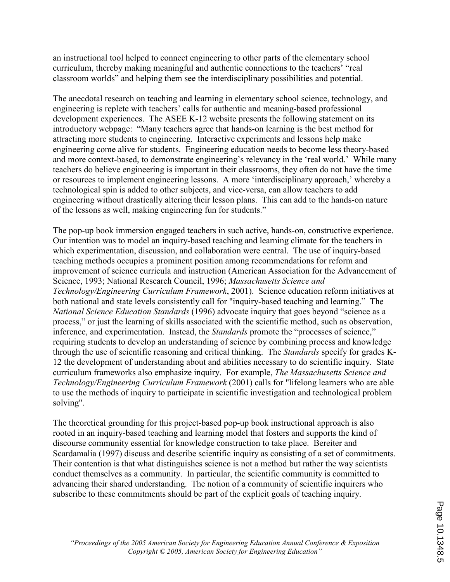an instructional tool helped to connect engineering to other parts of the elementary school curriculum, thereby making meaningful and authentic connections to the teachers' "real classroom worlds" and helping them see the interdisciplinary possibilities and potential.

The anecdotal research on teaching and learning in elementary school science, technology, and engineering is replete with teachers' calls for authentic and meaning-based professional development experiences. The ASEE K-12 website presents the following statement on its introductory webpage: "Many teachers agree that hands-on learning is the best method for attracting more students to engineering. Interactive experiments and lessons help make engineering come alive for students. Engineering education needs to become less theory-based and more context-based, to demonstrate engineering's relevancy in the 'real world.' While many teachers do believe engineering is important in their classrooms, they often do not have the time or resources to implement engineering lessons. A more 'interdisciplinary approach,' whereby a technological spin is added to other subjects, and vice-versa, can allow teachers to add engineering without drastically altering their lesson plans. This can add to the hands-on nature of the lessons as well, making engineering fun for students."

The pop-up book immersion engaged teachers in such active, hands-on, constructive experience. Our intention was to model an inquiry-based teaching and learning climate for the teachers in which experimentation, discussion, and collaboration were central. The use of inquiry-based teaching methods occupies a prominent position among recommendations for reform and improvement of science curricula and instruction (American Association for the Advancement of Science, 1993; National Research Council, 1996; Massachusetts Science and Technology/Engineering Curriculum Framework, 2001). Science education reform initiatives at both national and state levels consistently call for "inquiry-based teaching and learning." The National Science Education Standards (1996) advocate inquiry that goes beyond "science as a process," or just the learning of skills associated with the scientific method, such as observation, inference, and experimentation. Instead, the Standards promote the "processes of science," requiring students to develop an understanding of science by combining process and knowledge through the use of scientific reasoning and critical thinking. The Standards specify for grades K-12 the development of understanding about and abilities necessary to do scientific inquiry. State curriculum frameworks also emphasize inquiry. For example, The Massachusetts Science and Technology/Engineering Curriculum Framework (2001) calls for "lifelong learners who are able to use the methods of inquiry to participate in scientific investigation and technological problem solving".

The theoretical grounding for this project-based pop-up book instructional approach is also rooted in an inquiry-based teaching and learning model that fosters and supports the kind of discourse community essential for knowledge construction to take place. Bereiter and Scardamalia (1997) discuss and describe scientific inquiry as consisting of a set of commitments. Their contention is that what distinguishes science is not a method but rather the way scientists conduct themselves as a community. In particular, the scientific community is committed to advancing their shared understanding. The notion of a community of scientific inquirers who subscribe to these commitments should be part of the explicit goals of teaching inquiry.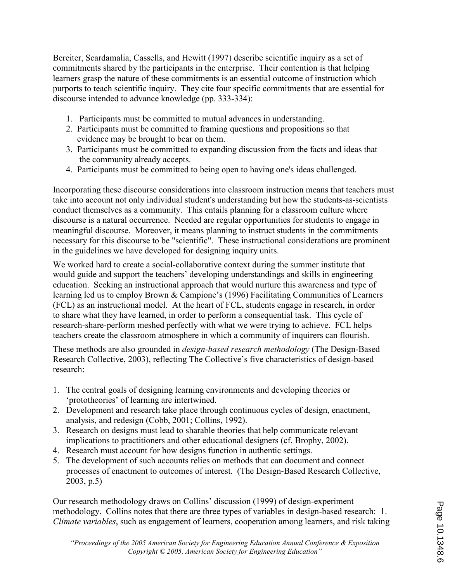Bereiter, Scardamalia, Cassells, and Hewitt (1997) describe scientific inquiry as a set of commitments shared by the participants in the enterprise. Their contention is that helping learners grasp the nature of these commitments is an essential outcome of instruction which purports to teach scientific inquiry. They cite four specific commitments that are essential for discourse intended to advance knowledge (pp. 333-334):

- 1. Participants must be committed to mutual advances in understanding.
- 2. Participants must be committed to framing questions and propositions so that evidence may be brought to bear on them.
- 3. Participants must be committed to expanding discussion from the facts and ideas that the community already accepts.
- 4. Participants must be committed to being open to having one's ideas challenged.

Incorporating these discourse considerations into classroom instruction means that teachers must take into account not only individual student's understanding but how the students-as-scientists conduct themselves as a community. This entails planning for a classroom culture where discourse is a natural occurrence. Needed are regular opportunities for students to engage in meaningful discourse. Moreover, it means planning to instruct students in the commitments necessary for this discourse to be "scientific". These instructional considerations are prominent in the guidelines we have developed for designing inquiry units.

We worked hard to create a social-collaborative context during the summer institute that would guide and support the teachers' developing understandings and skills in engineering education. Seeking an instructional approach that would nurture this awareness and type of learning led us to employ Brown & Campione's (1996) Facilitating Communities of Learners (FCL) as an instructional model. At the heart of FCL, students engage in research, in order to share what they have learned, in order to perform a consequential task. This cycle of research-share-perform meshed perfectly with what we were trying to achieve. FCL helps teachers create the classroom atmosphere in which a community of inquirers can flourish.

These methods are also grounded in design-based research methodology (The Design-Based Research Collective, 2003), reflecting The Collective's five characteristics of design-based research:

- 1. The central goals of designing learning environments and developing theories or 'prototheories' of learning are intertwined.
- 2. Development and research take place through continuous cycles of design, enactment, analysis, and redesign (Cobb, 2001; Collins, 1992).
- 3. Research on designs must lead to sharable theories that help communicate relevant implications to practitioners and other educational designers (cf. Brophy, 2002).
- 4. Research must account for how designs function in authentic settings.
- 5. The development of such accounts relies on methods that can document and connect processes of enactment to outcomes of interest. (The Design-Based Research Collective, 2003, p.5)

Our research methodology draws on Collins' discussion (1999) of design-experiment methodology. Collins notes that there are three types of variables in design-based research: 1. Climate variables, such as engagement of learners, cooperation among learners, and risk taking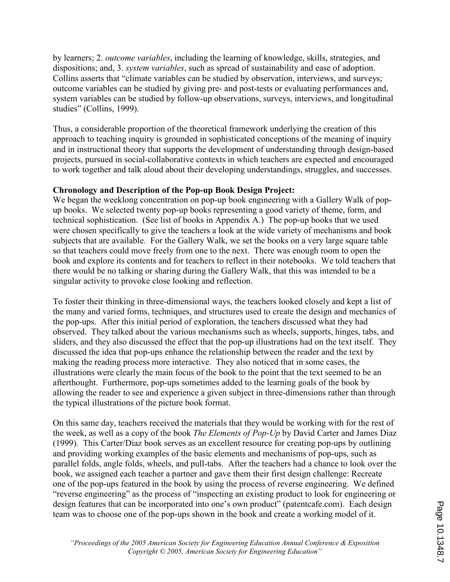by learners; 2. outcome variables, including the learning of knowledge, skills, strategies, and dispositions; and, 3. *system variables*, such as spread of sustainability and ease of adoption. Collins asserts that "climate variables can be studied by observation, interviews, and surveys; outcome variables can be studied by giving pre- and post-tests or evaluating performances and, system variables can be studied by follow-up observations, surveys, interviews, and longitudinal studies" (Collins, 1999).

Thus, a considerable proportion of the theoretical framework underlying the creation of this approach to teaching inquiry is grounded in sophisticated conceptions of the meaning of inquiry and in instructional theory that supports the development of understanding through design-based projects, pursued in social-collaborative contexts in which teachers are expected and encouraged to work together and talk aloud about their developing understandings, struggles, and successes.

## Chronology and Description of the Pop-up Book Design Project:

We began the weeklong concentration on pop-up book engineering with a Gallery Walk of popup books. We selected twenty pop-up books representing a good variety of theme, form, and technical sophistication. (See list of books in Appendix A.) The pop-up books that we used were chosen specifically to give the teachers a look at the wide variety of mechanisms and book subjects that are available. For the Gallery Walk, we set the books on a very large square table so that teachers could move freely from one to the next. There was enough room to open the book and explore its contents and for teachers to reflect in their notebooks. We told teachers that there would be no talking or sharing during the Gallery Walk, that this was intended to be a singular activity to provoke close looking and reflection.

To foster their thinking in three-dimensional ways, the teachers looked closely and kept a list of the many and varied forms, techniques, and structures used to create the design and mechanics of the pop-ups. After this initial period of exploration, the teachers discussed what they had observed. They talked about the various mechanisms such as wheels, supports, hinges, tabs, and sliders, and they also discussed the effect that the pop-up illustrations had on the text itself. They discussed the idea that pop-ups enhance the relationship between the reader and the text by making the reading process more interactive. They also noticed that in some cases, the illustrations were clearly the main focus of the book to the point that the text seemed to be an afterthought. Furthermore, pop-ups sometimes added to the learning goals of the book by allowing the reader to see and experience a given subject in three-dimensions rather than through the typical illustrations of the picture book format.

On this same day, teachers received the materials that they would be working with for the rest of the week, as well as a copy of the book *The Elements of Pop-Up* by David Carter and James Diaz (1999). This Carter/Diaz book serves as an excellent resource for creating pop-ups by outlining and providing working examples of the basic elements and mechanisms of pop-ups, such as parallel folds, angle folds, wheels, and pull-tabs. After the teachers had a chance to look over the book, we assigned each teacher a partner and gave them their first design challenge: Recreate one of the pop-ups featured in the book by using the process of reverse engineering. We defined "reverse engineering" as the process of "inspecting an existing product to look for engineering or design features that can be incorporated into one's own product" (patentcafe.com). Each design team was to choose one of the pop-ups shown in the book and create a working model of it.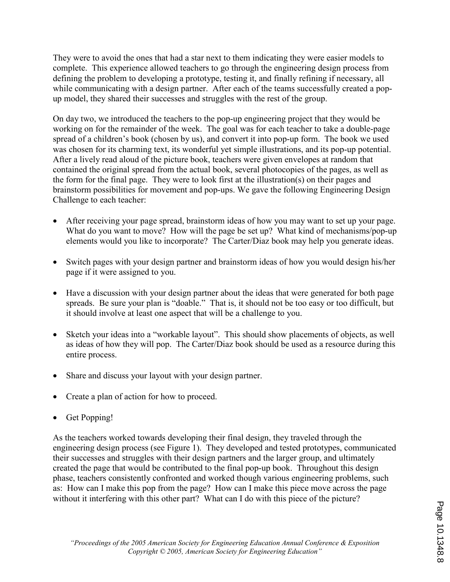They were to avoid the ones that had a star next to them indicating they were easier models to complete. This experience allowed teachers to go through the engineering design process from defining the problem to developing a prototype, testing it, and finally refining if necessary, all while communicating with a design partner. After each of the teams successfully created a popup model, they shared their successes and struggles with the rest of the group.

On day two, we introduced the teachers to the pop-up engineering project that they would be working on for the remainder of the week. The goal was for each teacher to take a double-page spread of a children's book (chosen by us), and convert it into pop-up form. The book we used was chosen for its charming text, its wonderful yet simple illustrations, and its pop-up potential. After a lively read aloud of the picture book, teachers were given envelopes at random that contained the original spread from the actual book, several photocopies of the pages, as well as the form for the final page. They were to look first at the illustration(s) on their pages and brainstorm possibilities for movement and pop-ups. We gave the following Engineering Design Challenge to each teacher:

- After receiving your page spread, brainstorm ideas of how you may want to set up your page. What do you want to move? How will the page be set up? What kind of mechanisms/pop-up elements would you like to incorporate? The Carter/Diaz book may help you generate ideas.
- Switch pages with your design partner and brainstorm ideas of how you would design his/her page if it were assigned to you.
- Have a discussion with your design partner about the ideas that were generated for both page spreads. Be sure your plan is "doable." That is, it should not be too easy or too difficult, but it should involve at least one aspect that will be a challenge to you.
- Sketch your ideas into a "workable layout". This should show placements of objects, as well as ideas of how they will pop. The Carter/Diaz book should be used as a resource during this entire process.
- Share and discuss your layout with your design partner.
- Create a plan of action for how to proceed.
- Get Popping!

As the teachers worked towards developing their final design, they traveled through the engineering design process (see Figure 1). They developed and tested prototypes, communicated their successes and struggles with their design partners and the larger group, and ultimately created the page that would be contributed to the final pop-up book. Throughout this design phase, teachers consistently confronted and worked though various engineering problems, such as: How can I make this pop from the page? How can I make this piece move across the page without it interfering with this other part? What can I do with this piece of the picture?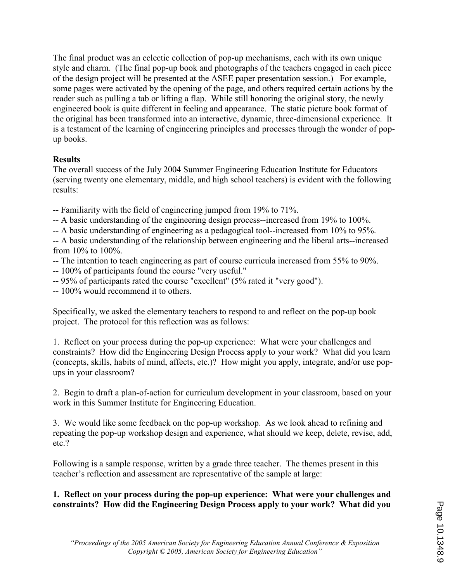The final product was an eclectic collection of pop-up mechanisms, each with its own unique style and charm. (The final pop-up book and photographs of the teachers engaged in each piece of the design project will be presented at the ASEE paper presentation session.) For example, some pages were activated by the opening of the page, and others required certain actions by the reader such as pulling a tab or lifting a flap. While still honoring the original story, the newly engineered book is quite different in feeling and appearance. The static picture book format of the original has been transformed into an interactive, dynamic, three-dimensional experience. It is a testament of the learning of engineering principles and processes through the wonder of popup books.

#### **Results**

The overall success of the July 2004 Summer Engineering Education Institute for Educators (serving twenty one elementary, middle, and high school teachers) is evident with the following results:

- -- Familiarity with the field of engineering jumped from 19% to 71%.
- -- A basic understanding of the engineering design process--increased from 19% to 100%.
- -- A basic understanding of engineering as a pedagogical tool--increased from 10% to 95%.

-- A basic understanding of the relationship between engineering and the liberal arts--increased from 10% to 100%.

- -- The intention to teach engineering as part of course curricula increased from 55% to 90%.
- -- 100% of participants found the course "very useful."
- -- 95% of participants rated the course "excellent" (5% rated it "very good").
- -- 100% would recommend it to others.

Specifically, we asked the elementary teachers to respond to and reflect on the pop-up book project. The protocol for this reflection was as follows:

1. Reflect on your process during the pop-up experience: What were your challenges and constraints? How did the Engineering Design Process apply to your work? What did you learn (concepts, skills, habits of mind, affects, etc.)? How might you apply, integrate, and/or use popups in your classroom?

2. Begin to draft a plan-of-action for curriculum development in your classroom, based on your work in this Summer Institute for Engineering Education.

3. We would like some feedback on the pop-up workshop. As we look ahead to refining and repeating the pop-up workshop design and experience, what should we keep, delete, revise, add, etc.?

Following is a sample response, written by a grade three teacher. The themes present in this teacher's reflection and assessment are representative of the sample at large:

## 1. Reflect on your process during the pop-up experience: What were your challenges and constraints? How did the Engineering Design Process apply to your work? What did you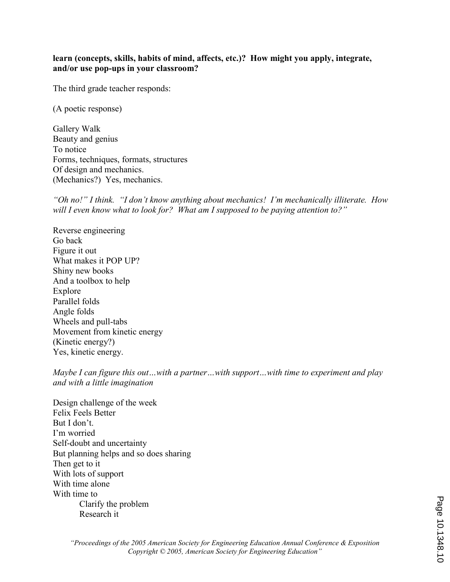#### learn (concepts, skills, habits of mind, affects, etc.)? How might you apply, integrate, and/or use pop-ups in your classroom?

The third grade teacher responds:

(A poetic response)

Gallery Walk Beauty and genius To notice Forms, techniques, formats, structures Of design and mechanics. (Mechanics?) Yes, mechanics.

"Oh no!" I think. "I don't know anything about mechanics! I'm mechanically illiterate. How will I even know what to look for? What am I supposed to be paying attention to?"

Reverse engineering Go back Figure it out What makes it POP UP? Shiny new books And a toolbox to help Explore Parallel folds Angle folds Wheels and pull-tabs Movement from kinetic energy (Kinetic energy?) Yes, kinetic energy.

Maybe I can figure this out...with a partner...with support...with time to experiment and play and with a little imagination

Design challenge of the week Felix Feels Better But I don't. I'm worried Self-doubt and uncertainty But planning helps and so does sharing Then get to it With lots of support With time alone With time to Clarify the problem Research it

Page 10.1348.10Page 10.1348.10

"Proceedings of the 2005 American Society for Engineering Education Annual Conference & Exposition Copyright © 2005, American Society for Engineering Education"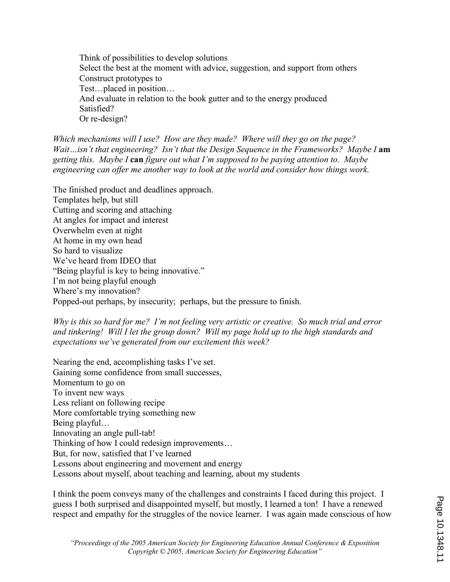Think of possibilities to develop solutions Select the best at the moment with advice, suggestion, and support from others Construct prototypes to Test…placed in position… And evaluate in relation to the book gutter and to the energy produced Satisfied? Or re-design?

Which mechanisms will I use? How are they made? Where will they go on the page? Wait...isn't that engineering? Isn't that the Design Sequence in the Frameworks? Maybe I am getting this. Maybe I can figure out what I'm supposed to be paying attention to. Maybe engineering can offer me another way to look at the world and consider how things work.

The finished product and deadlines approach. Templates help, but still Cutting and scoring and attaching At angles for impact and interest Overwhelm even at night At home in my own head So hard to visualize We've heard from IDEO that "Being playful is key to being innovative." I'm not being playful enough Where's my innovation? Popped-out perhaps, by insecurity; perhaps, but the pressure to finish.

#### Why is this so hard for me? I'm not feeling very artistic or creative. So much trial and error and tinkering! Will I let the group down? Will my page hold up to the high standards and expectations we've generated from our excitement this week?

Nearing the end, accomplishing tasks I've set. Gaining some confidence from small successes, Momentum to go on To invent new ways Less reliant on following recipe More comfortable trying something new Being playful… Innovating an angle pull-tab! Thinking of how I could redesign improvements… But, for now, satisfied that I've learned Lessons about engineering and movement and energy Lessons about myself, about teaching and learning, about my students

I think the poem conveys many of the challenges and constraints I faced during this project. I guess I both surprised and disappointed myself, but mostly, I learned a ton! I have a renewed respect and empathy for the struggles of the novice learner. I was again made conscious of how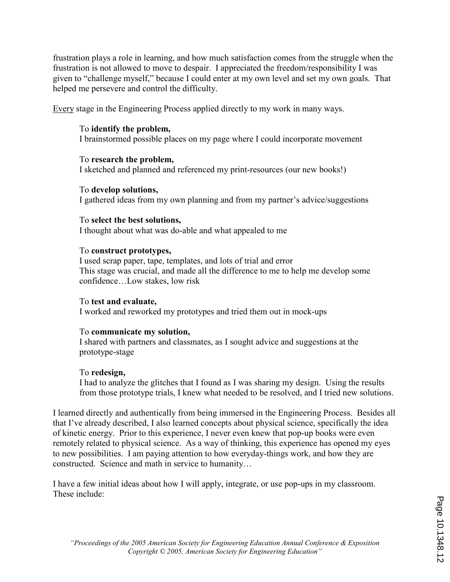frustration plays a role in learning, and how much satisfaction comes from the struggle when the frustration is not allowed to move to despair. I appreciated the freedom/responsibility I was given to "challenge myself," because I could enter at my own level and set my own goals. That helped me persevere and control the difficulty.

Every stage in the Engineering Process applied directly to my work in many ways.

## To identify the problem,

I brainstormed possible places on my page where I could incorporate movement

## To research the problem,

I sketched and planned and referenced my print-resources (our new books!)

#### To develop solutions,

I gathered ideas from my own planning and from my partner's advice/suggestions

## To select the best solutions,

I thought about what was do-able and what appealed to me

## To construct prototypes,

I used scrap paper, tape, templates, and lots of trial and error This stage was crucial, and made all the difference to me to help me develop some confidence…Low stakes, low risk

## To test and evaluate,

I worked and reworked my prototypes and tried them out in mock-ups

## To communicate my solution,

I shared with partners and classmates, as I sought advice and suggestions at the prototype-stage

## To redesign,

I had to analyze the glitches that I found as I was sharing my design. Using the results from those prototype trials, I knew what needed to be resolved, and I tried new solutions.

I learned directly and authentically from being immersed in the Engineering Process. Besides all that I've already described, I also learned concepts about physical science, specifically the idea of kinetic energy. Prior to this experience, I never even knew that pop-up books were even remotely related to physical science. As a way of thinking, this experience has opened my eyes to new possibilities. I am paying attention to how everyday-things work, and how they are constructed. Science and math in service to humanity…

I have a few initial ideas about how I will apply, integrate, or use pop-ups in my classroom. These include: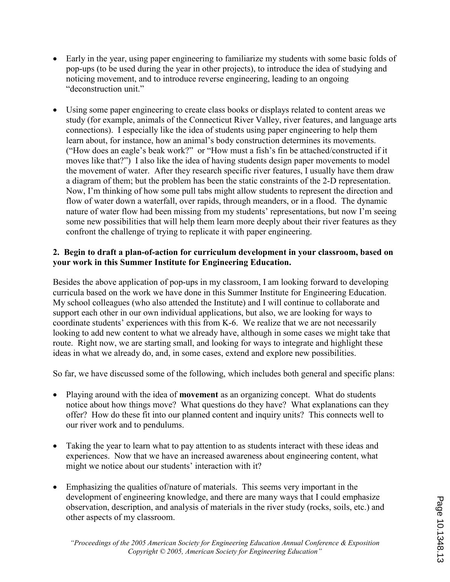- Early in the year, using paper engineering to familiarize my students with some basic folds of pop-ups (to be used during the year in other projects), to introduce the idea of studying and noticing movement, and to introduce reverse engineering, leading to an ongoing "deconstruction unit."
- Using some paper engineering to create class books or displays related to content areas we study (for example, animals of the Connecticut River Valley, river features, and language arts connections). I especially like the idea of students using paper engineering to help them learn about, for instance, how an animal's body construction determines its movements. ("How does an eagle's beak work?" or "How must a fish's fin be attached/constructed if it moves like that?") I also like the idea of having students design paper movements to model the movement of water. After they research specific river features, I usually have them draw a diagram of them; but the problem has been the static constraints of the 2-D representation. Now, I'm thinking of how some pull tabs might allow students to represent the direction and flow of water down a waterfall, over rapids, through meanders, or in a flood. The dynamic nature of water flow had been missing from my students' representations, but now I'm seeing some new possibilities that will help them learn more deeply about their river features as they confront the challenge of trying to replicate it with paper engineering.

#### 2. Begin to draft a plan-of-action for curriculum development in your classroom, based on your work in this Summer Institute for Engineering Education.

Besides the above application of pop-ups in my classroom, I am looking forward to developing curricula based on the work we have done in this Summer Institute for Engineering Education. My school colleagues (who also attended the Institute) and I will continue to collaborate and support each other in our own individual applications, but also, we are looking for ways to coordinate students' experiences with this from K-6. We realize that we are not necessarily looking to add new content to what we already have, although in some cases we might take that route. Right now, we are starting small, and looking for ways to integrate and highlight these ideas in what we already do, and, in some cases, extend and explore new possibilities.

So far, we have discussed some of the following, which includes both general and specific plans:

- Playing around with the idea of **movement** as an organizing concept. What do students notice about how things move? What questions do they have? What explanations can they offer? How do these fit into our planned content and inquiry units? This connects well to our river work and to pendulums.
- Taking the year to learn what to pay attention to as students interact with these ideas and experiences. Now that we have an increased awareness about engineering content, what might we notice about our students' interaction with it?
- Emphasizing the qualities of/nature of materials. This seems very important in the development of engineering knowledge, and there are many ways that I could emphasize observation, description, and analysis of materials in the river study (rocks, soils, etc.) and other aspects of my classroom.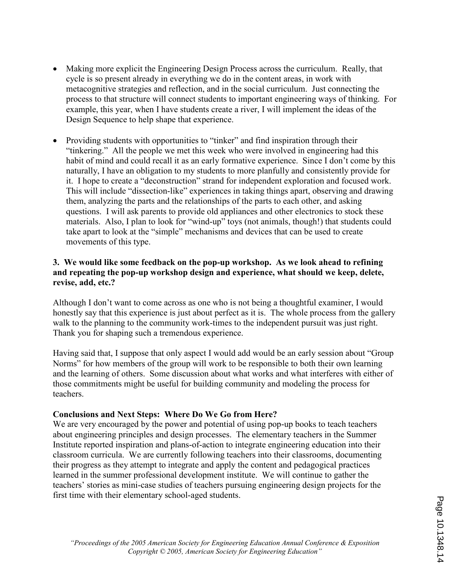- Making more explicit the Engineering Design Process across the curriculum. Really, that cycle is so present already in everything we do in the content areas, in work with metacognitive strategies and reflection, and in the social curriculum. Just connecting the process to that structure will connect students to important engineering ways of thinking. For example, this year, when I have students create a river, I will implement the ideas of the Design Sequence to help shape that experience.
- Providing students with opportunities to "tinker" and find inspiration through their "tinkering." All the people we met this week who were involved in engineering had this habit of mind and could recall it as an early formative experience. Since I don't come by this naturally, I have an obligation to my students to more planfully and consistently provide for it. I hope to create a "deconstruction" strand for independent exploration and focused work. This will include "dissection-like" experiences in taking things apart, observing and drawing them, analyzing the parts and the relationships of the parts to each other, and asking questions. I will ask parents to provide old appliances and other electronics to stock these materials. Also, I plan to look for "wind-up" toys (not animals, though!) that students could take apart to look at the "simple" mechanisms and devices that can be used to create movements of this type.

#### 3. We would like some feedback on the pop-up workshop. As we look ahead to refining and repeating the pop-up workshop design and experience, what should we keep, delete, revise, add, etc.?

Although I don't want to come across as one who is not being a thoughtful examiner, I would honestly say that this experience is just about perfect as it is. The whole process from the gallery walk to the planning to the community work-times to the independent pursuit was just right. Thank you for shaping such a tremendous experience.

Having said that, I suppose that only aspect I would add would be an early session about "Group Norms" for how members of the group will work to be responsible to both their own learning and the learning of others. Some discussion about what works and what interferes with either of those commitments might be useful for building community and modeling the process for teachers.

#### Conclusions and Next Steps: Where Do We Go from Here?

We are very encouraged by the power and potential of using pop-up books to teach teachers about engineering principles and design processes. The elementary teachers in the Summer Institute reported inspiration and plans-of-action to integrate engineering education into their classroom curricula. We are currently following teachers into their classrooms, documenting their progress as they attempt to integrate and apply the content and pedagogical practices learned in the summer professional development institute. We will continue to gather the teachers' stories as mini-case studies of teachers pursuing engineering design projects for the first time with their elementary school-aged students.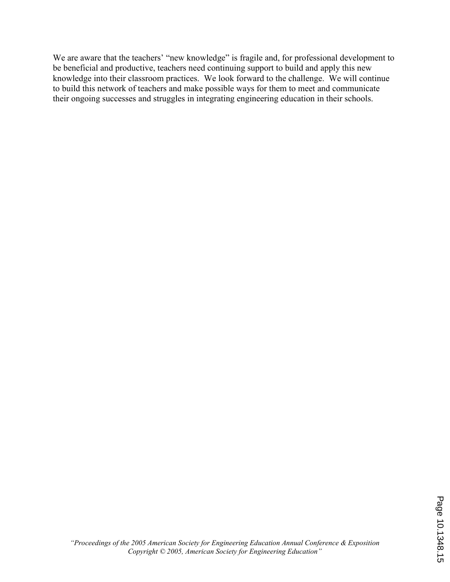We are aware that the teachers' "new knowledge" is fragile and, for professional development to be beneficial and productive, teachers need continuing support to build and apply this new knowledge into their classroom practices. We look forward to the challenge. We will continue to build this network of teachers and make possible ways for them to meet and communicate their ongoing successes and struggles in integrating engineering education in their schools.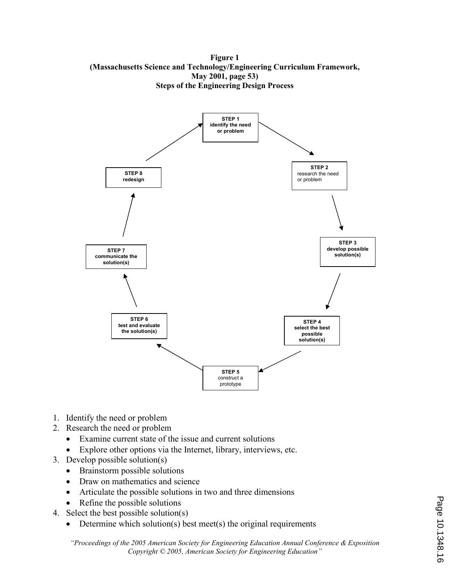Figure 1 (Massachusetts Science and Technology/Engineering Curriculum Framework, May 2001, page 53) Steps of the Engineering Design Process



- 1. Identify the need or problem
- 2. Research the need or problem
	- Examine current state of the issue and current solutions
	- Explore other options via the Internet, library, interviews, etc.
- 3. Develop possible solution(s)
	- Brainstorm possible solutions
	- Draw on mathematics and science
	- Articulate the possible solutions in two and three dimensions
	- Refine the possible solutions
- 4. Select the best possible solution(s)
	- Determine which solution(s) best meet(s) the original requirements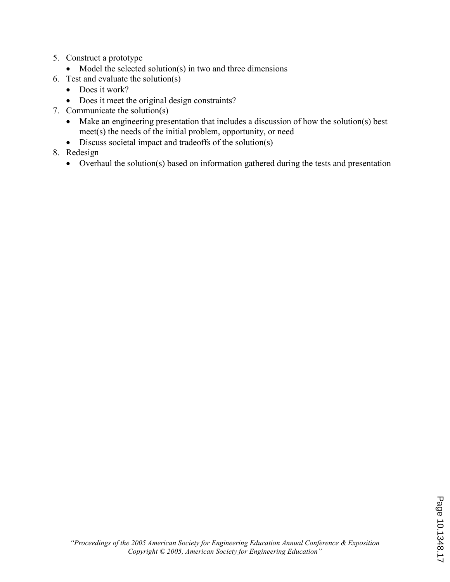- 5. Construct a prototype
	- Model the selected solution(s) in two and three dimensions
- 6. Test and evaluate the solution(s)
	- Does it work?
	- Does it meet the original design constraints?
- 7. Communicate the solution(s)
	- Make an engineering presentation that includes a discussion of how the solution(s) best meet(s) the needs of the initial problem, opportunity, or need
	- Discuss societal impact and tradeoffs of the solution(s)
- 8. Redesign
	- Overhaul the solution(s) based on information gathered during the tests and presentation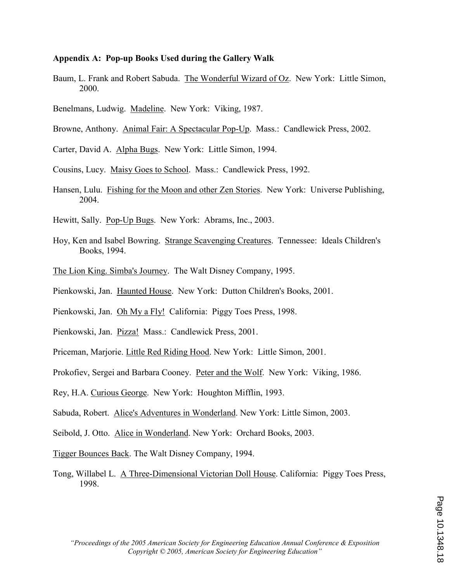#### Appendix A: Pop-up Books Used during the Gallery Walk

- Baum, L. Frank and Robert Sabuda. The Wonderful Wizard of Oz. New York: Little Simon, 2000.
- Benelmans, Ludwig. Madeline. New York: Viking, 1987.
- Browne, Anthony. Animal Fair: A Spectacular Pop-Up. Mass.: Candlewick Press, 2002.
- Carter, David A. Alpha Bugs. New York: Little Simon, 1994.
- Cousins, Lucy. Maisy Goes to School. Mass.: Candlewick Press, 1992.
- Hansen, Lulu. Fishing for the Moon and other Zen Stories. New York: Universe Publishing, 2004.
- Hewitt, Sally. Pop-Up Bugs. New York: Abrams, Inc., 2003.
- Hoy, Ken and Isabel Bowring. Strange Scavenging Creatures. Tennessee: Ideals Children's Books, 1994.
- The Lion King. Simba's Journey. The Walt Disney Company, 1995.
- Pienkowski, Jan. Haunted House. New York: Dutton Children's Books, 2001.
- Pienkowski, Jan. Oh My a Fly! California: Piggy Toes Press, 1998.
- Pienkowski, Jan. Pizza! Mass.: Candlewick Press, 2001.
- Priceman, Marjorie. Little Red Riding Hood. New York: Little Simon, 2001.
- Prokofiev, Sergei and Barbara Cooney. Peter and the Wolf. New York: Viking, 1986.
- Rey, H.A. Curious George. New York: Houghton Mifflin, 1993.
- Sabuda, Robert. Alice's Adventures in Wonderland. New York: Little Simon, 2003.
- Seibold, J. Otto. Alice in Wonderland. New York: Orchard Books, 2003.
- Tigger Bounces Back. The Walt Disney Company, 1994.
- Tong, Willabel L. A Three-Dimensional Victorian Doll House. California: Piggy Toes Press, 1998.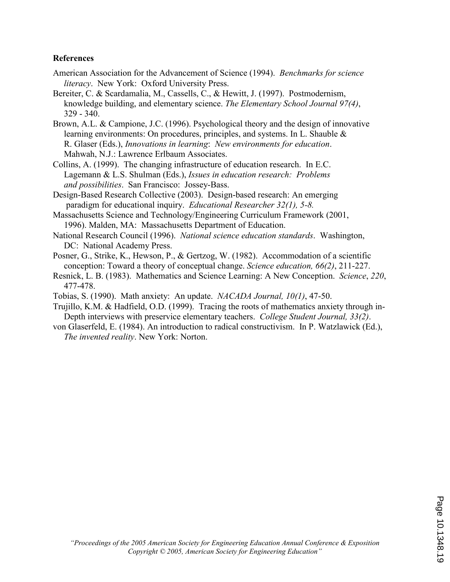#### References

- American Association for the Advancement of Science (1994). Benchmarks for science literacy. New York: Oxford University Press.
- Bereiter, C. & Scardamalia, M., Cassells, C., & Hewitt, J. (1997). Postmodernism, knowledge building, and elementary science. The Elementary School Journal 97(4), 329 - 340.
- Brown, A.L. & Campione, J.C. (1996). Psychological theory and the design of innovative learning environments: On procedures, principles, and systems. In L. Shauble & R. Glaser (Eds.), Innovations in learning: New environments for education. Mahwah, N.J.: Lawrence Erlbaum Associates.
- Collins, A. (1999). The changing infrastructure of education research. In E.C. Lagemann & L.S. Shulman (Eds.), Issues in education research: Problems and possibilities. San Francisco: Jossey-Bass.
- Design-Based Research Collective (2003). Design-based research: An emerging paradigm for educational inquiry. Educational Researcher 32(1), 5-8.
- Massachusetts Science and Technology/Engineering Curriculum Framework (2001, 1996). Malden, MA: Massachusetts Department of Education.
- National Research Council (1996). National science education standards. Washington, DC: National Academy Press.
- Posner, G., Strike, K., Hewson, P., & Gertzog, W. (1982). Accommodation of a scientific conception: Toward a theory of conceptual change. Science education, 66(2), 211-227.
- Resnick, L. B. (1983). Mathematics and Science Learning: A New Conception. Science, 220, 477-478.
- Tobias, S. (1990). Math anxiety: An update. NACADA Journal, 10(1), 47-50.
- Trujillo, K.M. & Hadfield, O.D. (1999). Tracing the roots of mathematics anxiety through in- Depth interviews with preservice elementary teachers. College Student Journal, 33(2).
- von Glaserfeld, E. (1984). An introduction to radical constructivism. In P. Watzlawick (Ed.), The invented reality. New York: Norton.